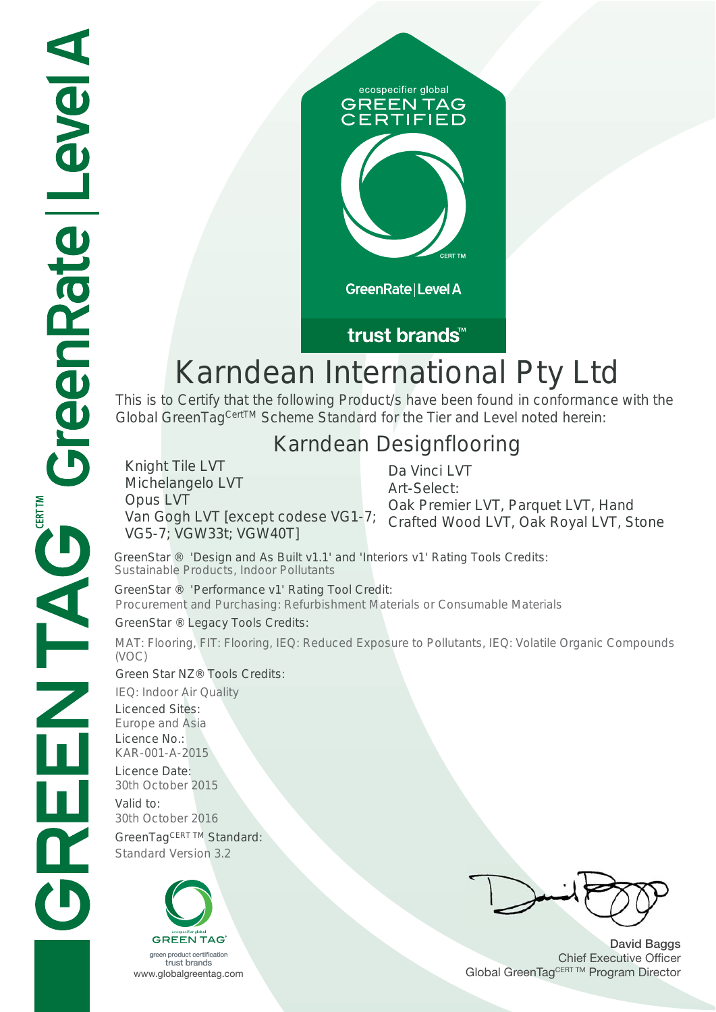

### trust brands<sup>™</sup>

# Karndean International Pty Ltd

This is to Certify that the following Product/s have been found in conformance with the Global GreenTag<sup>CertTM</sup> Scheme Standard for the Tier and Level noted herein:

# Karndean Designflooring

Knight Tile LVT Michelangelo LVT Opus LVT VG5-7; VGW33t; VGW40T]

Van Gogh LVT [except codese VG1-7; Crafted Wood LVT, Oak Royal LVT, Stone Da Vinci LVT Art-Select: Oak Premier LVT, Parquet LVT, Hand

GreenStar ® 'Design and As Built v1.1' and 'Interiors v1' Rating Tools Credits: Sustainable Products, Indoor Pollutants

GreenStar ® 'Performance v1' Rating Tool Credit: Procurement and Purchasing: Refurbishment Materials or Consumable Materials GreenStar ® Legacy Tools Credits:

MAT: Flooring, FIT: Flooring, IEQ: Reduced Exposure to Pollutants, IEQ: Volatile Organic Compounds (VOC)

#### Green Star NZ® Tools Credits:

IEQ: Indoor Air Quality Licenced Sites: Europe and Asia Licence No.: KAR-001-A-2015 Licence Date: 30th October 2015 Valid to: 30th October 2016

GreenTagCERT TM Standard: Standard Version 3.2



**David Baggs** Chief Executive Officer WWW.globalgreentag.com **Program Director** Global GreenTagCERT TM Program Director